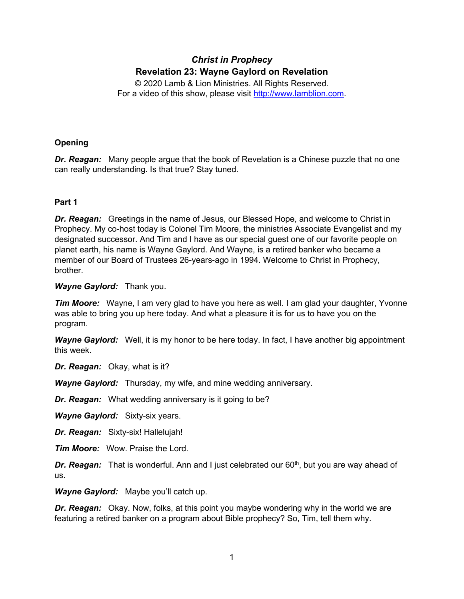# *Christ in Prophecy* **Revelation 23: Wayne Gaylord on Revelation**

© 2020 Lamb & Lion Ministries. All Rights Reserved. For a video of this show, please visit [http://www.lamblion.com.](http://www.lamblion.com/)

# **Opening**

*Dr. Reagan:* Many people argue that the book of Revelation is a Chinese puzzle that no one can really understanding. Is that true? Stay tuned.

# **Part 1**

*Dr. Reagan:* Greetings in the name of Jesus, our Blessed Hope, and welcome to Christ in Prophecy. My co-host today is Colonel Tim Moore, the ministries Associate Evangelist and my designated successor. And Tim and I have as our special guest one of our favorite people on planet earth, his name is Wayne Gaylord. And Wayne, is a retired banker who became a member of our Board of Trustees 26-years-ago in 1994. Welcome to Christ in Prophecy, brother.

# *Wayne Gaylord:* Thank you.

*Tim Moore:* Wayne, I am very glad to have you here as well. I am glad your daughter, Yvonne was able to bring you up here today. And what a pleasure it is for us to have you on the program.

*Wayne Gaylord:* Well, it is my honor to be here today. In fact, I have another big appointment this week.

*Dr. Reagan:* Okay, what is it?

*Wayne Gaylord:* Thursday, my wife, and mine wedding anniversary.

*Dr. Reagan:* What wedding anniversary is it going to be?

*Wayne Gaylord:* Sixty-six years.

*Dr. Reagan:* Sixty-six! Hallelujah!

*Tim Moore:* Wow. Praise the Lord.

**Dr. Reagan:** That is wonderful. Ann and I just celebrated our 60<sup>th</sup>, but you are way ahead of us.

*Wayne Gaylord:* Maybe you'll catch up.

*Dr. Reagan:* Okay. Now, folks, at this point you maybe wondering why in the world we are featuring a retired banker on a program about Bible prophecy? So, Tim, tell them why.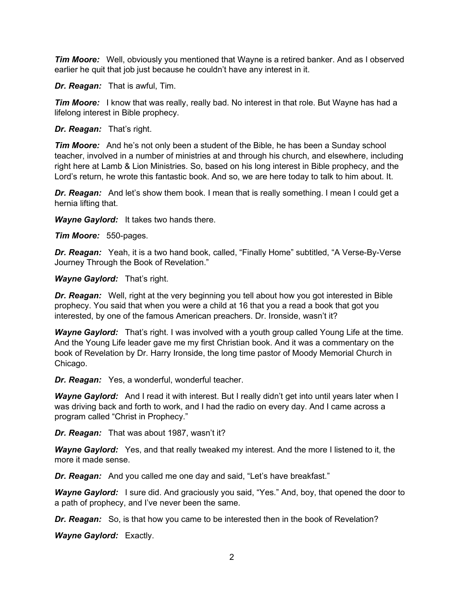*Tim Moore:* Well, obviously you mentioned that Wayne is a retired banker. And as I observed earlier he quit that job just because he couldn't have any interest in it.

*Dr. Reagan:* That is awful, Tim.

**Tim Moore:** I know that was really, really bad. No interest in that role. But Wayne has had a lifelong interest in Bible prophecy.

*Dr. Reagan:* That's right.

*Tim Moore:* And he's not only been a student of the Bible, he has been a Sunday school teacher, involved in a number of ministries at and through his church, and elsewhere, including right here at Lamb & Lion Ministries. So, based on his long interest in Bible prophecy, and the Lord's return, he wrote this fantastic book. And so, we are here today to talk to him about. It.

**Dr. Reagan:** And let's show them book. I mean that is really something. I mean I could get a hernia lifting that.

*Wayne Gaylord:* It takes two hands there.

*Tim Moore:* 550-pages.

*Dr. Reagan:* Yeah, it is a two hand book, called, "Finally Home" subtitled, "A Verse-By-Verse Journey Through the Book of Revelation."

*Wayne Gaylord:* That's right.

*Dr. Reagan:* Well, right at the very beginning you tell about how you got interested in Bible prophecy. You said that when you were a child at 16 that you a read a book that got you interested, by one of the famous American preachers. Dr. Ironside, wasn't it?

**Wayne Gaylord:** That's right. I was involved with a youth group called Young Life at the time. And the Young Life leader gave me my first Christian book. And it was a commentary on the book of Revelation by Dr. Harry Ironside, the long time pastor of Moody Memorial Church in Chicago.

*Dr. Reagan:* Yes, a wonderful, wonderful teacher.

*Wayne Gaylord:* And I read it with interest. But I really didn't get into until years later when I was driving back and forth to work, and I had the radio on every day. And I came across a program called "Christ in Prophecy."

*Dr. Reagan:* That was about 1987, wasn't it?

*Wayne Gaylord:* Yes, and that really tweaked my interest. And the more I listened to it, the more it made sense.

*Dr. Reagan:* And you called me one day and said, "Let's have breakfast."

Wayne Gaylord: I sure did. And graciously you said, "Yes." And, boy, that opened the door to a path of prophecy, and I've never been the same.

*Dr. Reagan:* So, is that how you came to be interested then in the book of Revelation?

*Wayne Gaylord:* Exactly.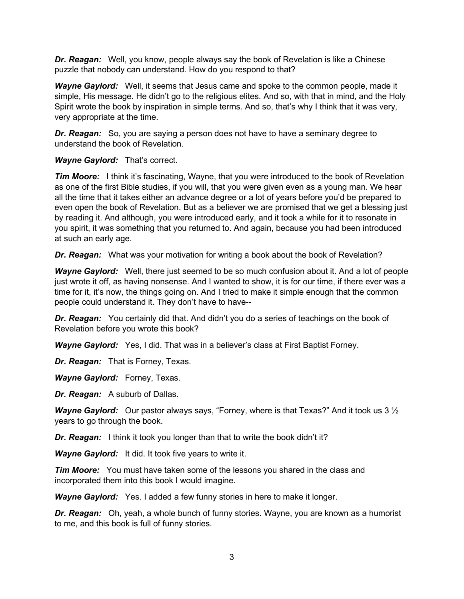*Dr. Reagan:* Well, you know, people always say the book of Revelation is like a Chinese puzzle that nobody can understand. How do you respond to that?

*Wayne Gaylord:* Well, it seems that Jesus came and spoke to the common people, made it simple, His message. He didn't go to the religious elites. And so, with that in mind, and the Holy Spirit wrote the book by inspiration in simple terms. And so, that's why I think that it was very, very appropriate at the time.

*Dr. Reagan:* So, you are saying a person does not have to have a seminary degree to understand the book of Revelation.

*Wayne Gaylord:* That's correct.

*Tim Moore:* I think it's fascinating, Wayne, that you were introduced to the book of Revelation as one of the first Bible studies, if you will, that you were given even as a young man. We hear all the time that it takes either an advance degree or a lot of years before you'd be prepared to even open the book of Revelation. But as a believer we are promised that we get a blessing just by reading it. And although, you were introduced early, and it took a while for it to resonate in you spirit, it was something that you returned to. And again, because you had been introduced at such an early age.

*Dr. Reagan:* What was your motivation for writing a book about the book of Revelation?

*Wayne Gaylord:* Well, there just seemed to be so much confusion about it. And a lot of people just wrote it off, as having nonsense. And I wanted to show, it is for our time, if there ever was a time for it, it's now, the things going on. And I tried to make it simple enough that the common people could understand it. They don't have to have--

*Dr. Reagan:* You certainly did that. And didn't you do a series of teachings on the book of Revelation before you wrote this book?

*Wayne Gaylord:* Yes, I did. That was in a believer's class at First Baptist Forney.

*Dr. Reagan:* That is Forney, Texas.

*Wayne Gaylord:* Forney, Texas.

*Dr. Reagan:* A suburb of Dallas.

*Wayne Gaylord:* Our pastor always says, "Forney, where is that Texas?" And it took us 3 ½ years to go through the book.

*Dr. Reagan:* I think it took you longer than that to write the book didn't it?

*Wayne Gaylord:* It did. It took five years to write it.

*Tim Moore:* You must have taken some of the lessons you shared in the class and incorporated them into this book I would imagine.

*Wayne Gaylord:* Yes. I added a few funny stories in here to make it longer.

*Dr. Reagan:* Oh, yeah, a whole bunch of funny stories. Wayne, you are known as a humorist to me, and this book is full of funny stories.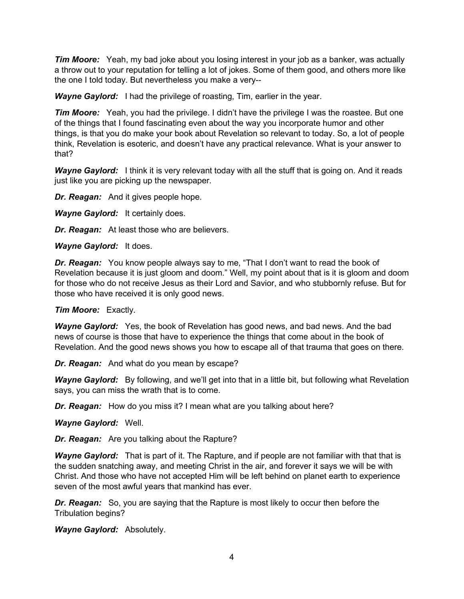*Tim Moore:* Yeah, my bad joke about you losing interest in your job as a banker, was actually a throw out to your reputation for telling a lot of jokes. Some of them good, and others more like the one I told today. But nevertheless you make a very--

*Wayne Gaylord:* I had the privilege of roasting, Tim, earlier in the year.

*Tim Moore:* Yeah, you had the privilege. I didn't have the privilege I was the roastee. But one of the things that I found fascinating even about the way you incorporate humor and other things, is that you do make your book about Revelation so relevant to today. So, a lot of people think, Revelation is esoteric, and doesn't have any practical relevance. What is your answer to that?

Wayne Gaylord: I think it is very relevant today with all the stuff that is going on. And it reads just like you are picking up the newspaper.

*Dr. Reagan:* And it gives people hope.

*Wayne Gaylord:* It certainly does.

*Dr. Reagan:* At least those who are believers.

*Wayne Gaylord:* It does.

*Dr. Reagan:* You know people always say to me, "That I don't want to read the book of Revelation because it is just gloom and doom." Well, my point about that is it is gloom and doom for those who do not receive Jesus as their Lord and Savior, and who stubbornly refuse. But for those who have received it is only good news.

*Tim Moore:* Exactly.

*Wayne Gaylord:* Yes, the book of Revelation has good news, and bad news. And the bad news of course is those that have to experience the things that come about in the book of Revelation. And the good news shows you how to escape all of that trauma that goes on there.

*Dr. Reagan:* And what do you mean by escape?

*Wayne Gaylord:* By following, and we'll get into that in a little bit, but following what Revelation says, you can miss the wrath that is to come.

*Dr. Reagan:* How do you miss it? I mean what are you talking about here?

*Wayne Gaylord:* Well.

*Dr. Reagan:* Are you talking about the Rapture?

*Wayne Gaylord:* That is part of it. The Rapture, and if people are not familiar with that that is the sudden snatching away, and meeting Christ in the air, and forever it says we will be with Christ. And those who have not accepted Him will be left behind on planet earth to experience seven of the most awful years that mankind has ever.

*Dr. Reagan:* So, you are saying that the Rapture is most likely to occur then before the Tribulation begins?

*Wayne Gaylord:* Absolutely.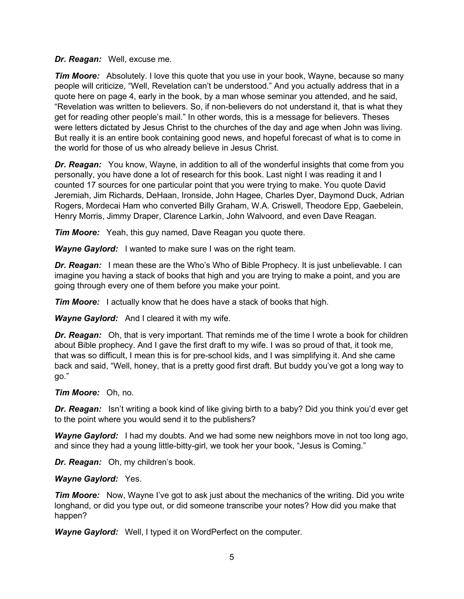#### *Dr. Reagan:* Well, excuse me.

*Tim Moore:* Absolutely. I love this quote that you use in your book, Wayne, because so many people will criticize, "Well, Revelation can't be understood." And you actually address that in a quote here on page 4, early in the book, by a man whose seminar you attended, and he said, "Revelation was written to believers. So, if non-believers do not understand it, that is what they get for reading other people's mail." In other words, this is a message for believers. Theses were letters dictated by Jesus Christ to the churches of the day and age when John was living. But really it is an entire book containing good news, and hopeful forecast of what is to come in the world for those of us who already believe in Jesus Christ.

*Dr. Reagan:* You know, Wayne, in addition to all of the wonderful insights that come from you personally, you have done a lot of research for this book. Last night I was reading it and I counted 17 sources for one particular point that you were trying to make. You quote David Jeremiah, Jim Richards, DeHaan, Ironside, John Hagee, Charles Dyer, Daymond Duck, Adrian Rogers, Mordecai Ham who converted Billy Graham, W.A. Criswell, Theodore Epp, Gaebelein, Henry Morris, Jimmy Draper, Clarence Larkin, John Walvoord, and even Dave Reagan.

*Tim Moore:* Yeah, this guy named, Dave Reagan you quote there.

*Wayne Gaylord:* I wanted to make sure I was on the right team.

*Dr. Reagan:* I mean these are the Who's Who of Bible Prophecy. It is just unbelievable. I can imagine you having a stack of books that high and you are trying to make a point, and you are going through every one of them before you make your point.

*Tim Moore:* I actually know that he does have a stack of books that high.

*Wayne Gaylord:* And I cleared it with my wife.

*Dr. Reagan:* Oh, that is very important. That reminds me of the time I wrote a book for children about Bible prophecy. And I gave the first draft to my wife. I was so proud of that, it took me, that was so difficult, I mean this is for pre-school kids, and I was simplifying it. And she came back and said, "Well, honey, that is a pretty good first draft. But buddy you've got a long way to go."

# *Tim Moore:* Oh, no.

*Dr. Reagan:* Isn't writing a book kind of like giving birth to a baby? Did you think you'd ever get to the point where you would send it to the publishers?

*Wayne Gaylord:* I had my doubts. And we had some new neighbors move in not too long ago, and since they had a young little-bitty-girl, we took her your book, "Jesus is Coming."

*Dr. Reagan:* Oh, my children's book.

# *Wayne Gaylord:* Yes.

*Tim Moore:* Now, Wayne I've got to ask just about the mechanics of the writing. Did you write longhand, or did you type out, or did someone transcribe your notes? How did you make that happen?

*Wayne Gaylord:* Well, I typed it on WordPerfect on the computer.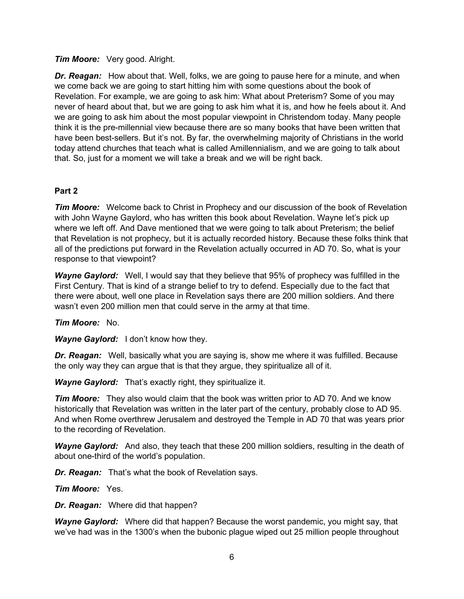#### *Tim Moore:* Very good. Alright.

*Dr. Reagan:* How about that. Well, folks, we are going to pause here for a minute, and when we come back we are going to start hitting him with some questions about the book of Revelation. For example, we are going to ask him: What about Preterism? Some of you may never of heard about that, but we are going to ask him what it is, and how he feels about it. And we are going to ask him about the most popular viewpoint in Christendom today. Many people think it is the pre-millennial view because there are so many books that have been written that have been best-sellers. But it's not. By far, the overwhelming majority of Christians in the world today attend churches that teach what is called Amillennialism, and we are going to talk about that. So, just for a moment we will take a break and we will be right back.

# **Part 2**

*Tim Moore:* Welcome back to Christ in Prophecy and our discussion of the book of Revelation with John Wayne Gaylord, who has written this book about Revelation. Wayne let's pick up where we left off. And Dave mentioned that we were going to talk about Preterism; the belief that Revelation is not prophecy, but it is actually recorded history. Because these folks think that all of the predictions put forward in the Revelation actually occurred in AD 70. So, what is your response to that viewpoint?

*Wayne Gaylord:* Well, I would say that they believe that 95% of prophecy was fulfilled in the First Century. That is kind of a strange belief to try to defend. Especially due to the fact that there were about, well one place in Revelation says there are 200 million soldiers. And there wasn't even 200 million men that could serve in the army at that time.

*Tim Moore:* No.

*Wayne Gaylord:* I don't know how they.

*Dr. Reagan:* Well, basically what you are saying is, show me where it was fulfilled. Because the only way they can argue that is that they argue, they spiritualize all of it.

*Wayne Gaylord:* That's exactly right, they spiritualize it.

*Tim Moore:* They also would claim that the book was written prior to AD 70. And we know historically that Revelation was written in the later part of the century, probably close to AD 95. And when Rome overthrew Jerusalem and destroyed the Temple in AD 70 that was years prior to the recording of Revelation.

*Wayne Gaylord:* And also, they teach that these 200 million soldiers, resulting in the death of about one-third of the world's population.

*Dr. Reagan:* That's what the book of Revelation says.

*Tim Moore:* Yes.

*Dr. Reagan:* Where did that happen?

*Wayne Gaylord:* Where did that happen? Because the worst pandemic, you might say, that we've had was in the 1300's when the bubonic plague wiped out 25 million people throughout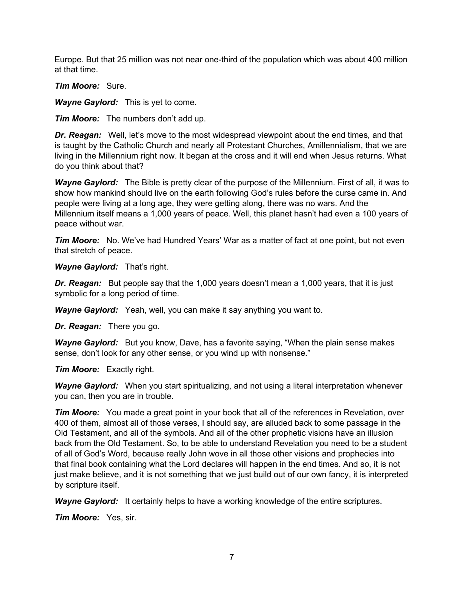Europe. But that 25 million was not near one-third of the population which was about 400 million at that time.

*Tim Moore:* Sure.

*Wayne Gaylord:* This is yet to come.

*Tim Moore:* The numbers don't add up.

*Dr. Reagan:* Well, let's move to the most widespread viewpoint about the end times, and that is taught by the Catholic Church and nearly all Protestant Churches, Amillennialism, that we are living in the Millennium right now. It began at the cross and it will end when Jesus returns. What do you think about that?

*Wayne Gaylord:* The Bible is pretty clear of the purpose of the Millennium. First of all, it was to show how mankind should live on the earth following God's rules before the curse came in. And people were living at a long age, they were getting along, there was no wars. And the Millennium itself means a 1,000 years of peace. Well, this planet hasn't had even a 100 years of peace without war.

*Tim Moore:* No. We've had Hundred Years' War as a matter of fact at one point, but not even that stretch of peace.

*Wayne Gaylord:* That's right.

**Dr. Reagan:** But people say that the 1,000 years doesn't mean a 1,000 years, that it is just symbolic for a long period of time.

*Wayne Gaylord:* Yeah, well, you can make it say anything you want to.

*Dr. Reagan:* There you go.

*Wayne Gaylord:* But you know, Dave, has a favorite saying, "When the plain sense makes sense, don't look for any other sense, or you wind up with nonsense."

*Tim Moore:* Exactly right.

*Wayne Gaylord:* When you start spiritualizing, and not using a literal interpretation whenever you can, then you are in trouble.

*Tim Moore:* You made a great point in your book that all of the references in Revelation, over 400 of them, almost all of those verses, I should say, are alluded back to some passage in the Old Testament, and all of the symbols. And all of the other prophetic visions have an illusion back from the Old Testament. So, to be able to understand Revelation you need to be a student of all of God's Word, because really John wove in all those other visions and prophecies into that final book containing what the Lord declares will happen in the end times. And so, it is not just make believe, and it is not something that we just build out of our own fancy, it is interpreted by scripture itself.

*Wayne Gaylord:* It certainly helps to have a working knowledge of the entire scriptures.

*Tim Moore:* Yes, sir.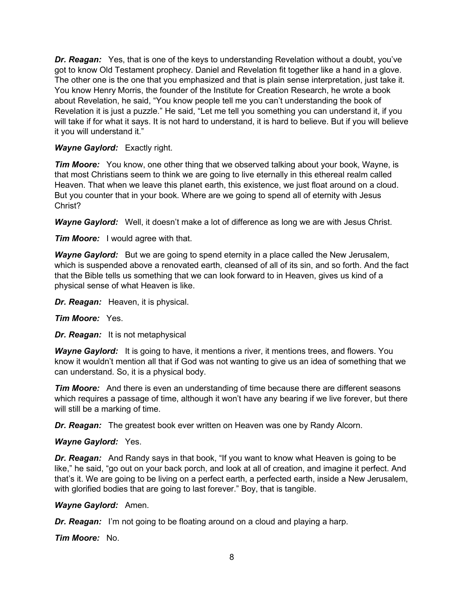*Dr. Reagan:* Yes, that is one of the keys to understanding Revelation without a doubt, you've got to know Old Testament prophecy. Daniel and Revelation fit together like a hand in a glove. The other one is the one that you emphasized and that is plain sense interpretation, just take it. You know Henry Morris, the founder of the Institute for Creation Research, he wrote a book about Revelation, he said, "You know people tell me you can't understanding the book of Revelation it is just a puzzle." He said, "Let me tell you something you can understand it, if you will take if for what it says. It is not hard to understand, it is hard to believe. But if you will believe it you will understand it."

# *Wayne Gaylord:* Exactly right.

*Tim Moore:* You know, one other thing that we observed talking about your book, Wayne, is that most Christians seem to think we are going to live eternally in this ethereal realm called Heaven. That when we leave this planet earth, this existence, we just float around on a cloud. But you counter that in your book. Where are we going to spend all of eternity with Jesus Christ?

*Wayne Gaylord:* Well, it doesn't make a lot of difference as long we are with Jesus Christ.

*Tim Moore:* I would agree with that.

*Wayne Gaylord:* But we are going to spend eternity in a place called the New Jerusalem, which is suspended above a renovated earth, cleansed of all of its sin, and so forth. And the fact that the Bible tells us something that we can look forward to in Heaven, gives us kind of a physical sense of what Heaven is like.

*Dr. Reagan:* Heaven, it is physical.

# *Tim Moore:* Yes.

*Dr. Reagan:* It is not metaphysical

*Wayne Gaylord:* It is going to have, it mentions a river, it mentions trees, and flowers. You know it wouldn't mention all that if God was not wanting to give us an idea of something that we can understand. So, it is a physical body.

*Tim Moore:* And there is even an understanding of time because there are different seasons which requires a passage of time, although it won't have any bearing if we live forever, but there will still be a marking of time.

*Dr. Reagan:* The greatest book ever written on Heaven was one by Randy Alcorn.

# *Wayne Gaylord:* Yes.

*Dr. Reagan:* And Randy says in that book, "If you want to know what Heaven is going to be like," he said, "go out on your back porch, and look at all of creation, and imagine it perfect. And that's it. We are going to be living on a perfect earth, a perfected earth, inside a New Jerusalem, with glorified bodies that are going to last forever." Boy, that is tangible.

# *Wayne Gaylord:* Amen.

*Dr. Reagan:* I'm not going to be floating around on a cloud and playing a harp.

*Tim Moore:* No.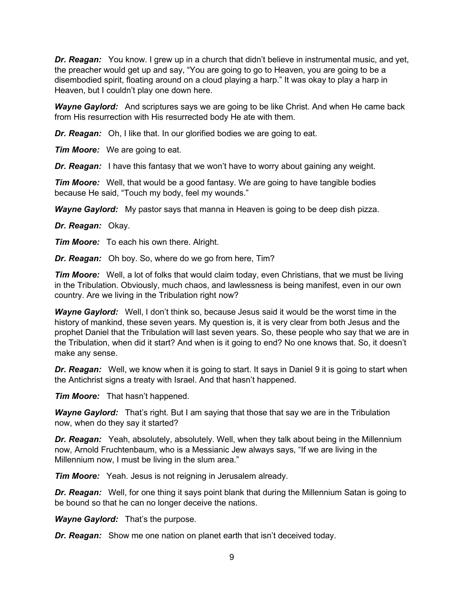*Dr. Reagan:* You know. I grew up in a church that didn't believe in instrumental music, and yet, the preacher would get up and say, "You are going to go to Heaven, you are going to be a disembodied spirit, floating around on a cloud playing a harp." It was okay to play a harp in Heaven, but I couldn't play one down here.

*Wayne Gaylord:* And scriptures says we are going to be like Christ. And when He came back from His resurrection with His resurrected body He ate with them.

*Dr. Reagan:* Oh, I like that. In our glorified bodies we are going to eat.

*Tim Moore:* We are going to eat.

**Dr. Reagan:** I have this fantasy that we won't have to worry about gaining any weight.

*Tim Moore:* Well, that would be a good fantasy. We are going to have tangible bodies because He said, "Touch my body, feel my wounds."

*Wayne Gaylord:* My pastor says that manna in Heaven is going to be deep dish pizza.

*Dr. Reagan:* Okay.

*Tim Moore:* To each his own there. Alright.

*Dr. Reagan:* Oh boy. So, where do we go from here, Tim?

*Tim Moore:* Well, a lot of folks that would claim today, even Christians, that we must be living in the Tribulation. Obviously, much chaos, and lawlessness is being manifest, even in our own country. Are we living in the Tribulation right now?

*Wayne Gaylord:* Well, I don't think so, because Jesus said it would be the worst time in the history of mankind, these seven years. My question is, it is very clear from both Jesus and the prophet Daniel that the Tribulation will last seven years. So, these people who say that we are in the Tribulation, when did it start? And when is it going to end? No one knows that. So, it doesn't make any sense.

*Dr. Reagan:* Well, we know when it is going to start. It says in Daniel 9 it is going to start when the Antichrist signs a treaty with Israel. And that hasn't happened.

*Tim Moore:* That hasn't happened.

*Wayne Gaylord:* That's right. But I am saying that those that say we are in the Tribulation now, when do they say it started?

*Dr. Reagan:* Yeah, absolutely, absolutely. Well, when they talk about being in the Millennium now, Arnold Fruchtenbaum, who is a Messianic Jew always says, "If we are living in the Millennium now, I must be living in the slum area."

*Tim Moore:* Yeah. Jesus is not reigning in Jerusalem already.

*Dr. Reagan:* Well, for one thing it says point blank that during the Millennium Satan is going to be bound so that he can no longer deceive the nations.

*Wayne Gaylord:* That's the purpose.

*Dr. Reagan:* Show me one nation on planet earth that isn't deceived today.